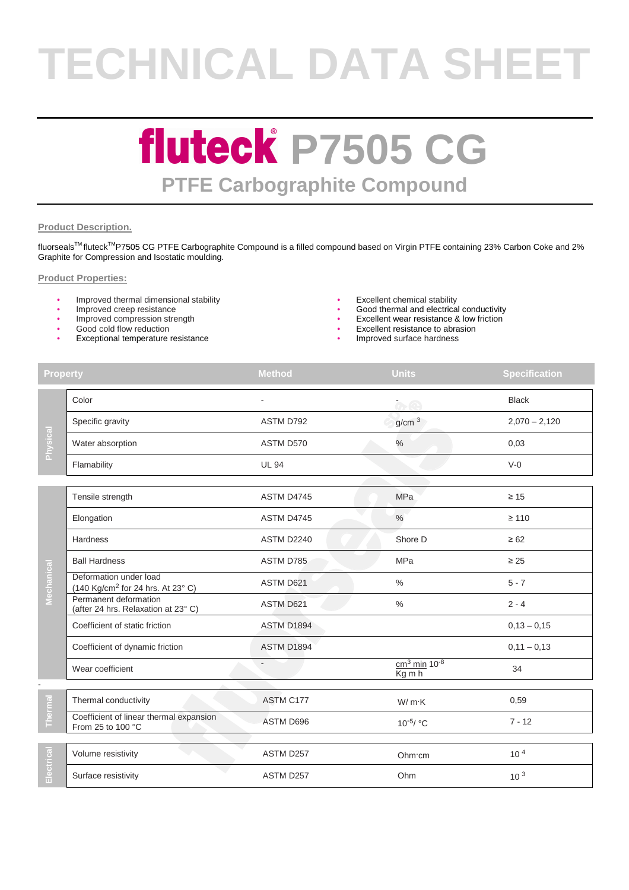# **TECHNICAL DATA SHEET**

### **fluteck P7505 CG PTFE Carbographite Compound**

#### **Product Description.**

fluorseals™ fluteck<sup>™</sup>P7505 CG PTFE Carbographite Compound is a filled compound based on Virgin PTFE containing 23% Carbon Coke and 2% Graphite for Compression and Isostatic moulding.

#### **Product Properties:**

- Improved thermal dimensional stability Excellent chemical stability
- 
- Improved compression strength
- Good cold flow reduction
- Exceptional temperature resistance Improved surface hardness
- 
- Good thermal and electrical conductivity
- Excellent wear resistance & low friction
- Excellent resistance to abrasion
- 

| <b>Property</b> |                                                                         | <b>Method</b>     | <b>Units</b>                           | <b>Specification</b> |
|-----------------|-------------------------------------------------------------------------|-------------------|----------------------------------------|----------------------|
| Physical        | Color                                                                   |                   | $\alpha$ e                             | <b>Black</b>         |
|                 | Specific gravity                                                        | ASTM D792         | g/cm <sup>3</sup>                      | $2,070 - 2,120$      |
|                 | Water absorption                                                        | ASTM D570         | $\%$                                   | 0,03                 |
|                 | Flamability                                                             | <b>UL 94</b>      |                                        | $V-0$                |
| Mechanica       | Tensile strength                                                        | ASTM D4745        | <b>MPa</b>                             | $\geq 15$            |
|                 | Elongation                                                              | ASTM D4745        | $\%$                                   | $\geq 110$           |
|                 | Hardness                                                                | ASTM D2240        | Shore D                                | $\geq 62$            |
|                 | <b>Ball Hardness</b>                                                    | ASTM D785         | <b>MPa</b>                             | $\geq 25$            |
|                 | Deformation under load<br>(140 Kg/cm <sup>2</sup> for 24 hrs. At 23° C) | ASTM D621         | $\%$                                   | $5 - 7$              |
|                 | Permanent deformation<br>(after 24 hrs. Relaxation at 23° C)            | ASTM D621         | $\frac{0}{0}$                          | $2 - 4$              |
|                 | Coefficient of static friction                                          | <b>ASTM D1894</b> |                                        | $0,13 - 0,15$        |
|                 | Coefficient of dynamic friction                                         | ASTM D1894        |                                        | $0,11 - 0,13$        |
|                 | Wear coefficient                                                        |                   | $cm3$ min 10 <sup>-8</sup><br>$Kg$ m h | 34                   |
| Thermal         |                                                                         |                   |                                        |                      |
|                 | Thermal conductivity                                                    | ASTM C177         | W/mK                                   | 0,59                 |
|                 | Coefficient of linear thermal expansion<br>From 25 to 100 °C            | ASTM D696         | $10^{-5}$ / °C                         | $7 - 12$             |
| ectrical<br>ш   | Volume resistivity                                                      | ASTM D257         | Ohm cm                                 | 10 <sup>4</sup>      |
|                 | Surface resistivity                                                     | ASTM D257         | Ohm                                    | 10 <sup>3</sup>      |